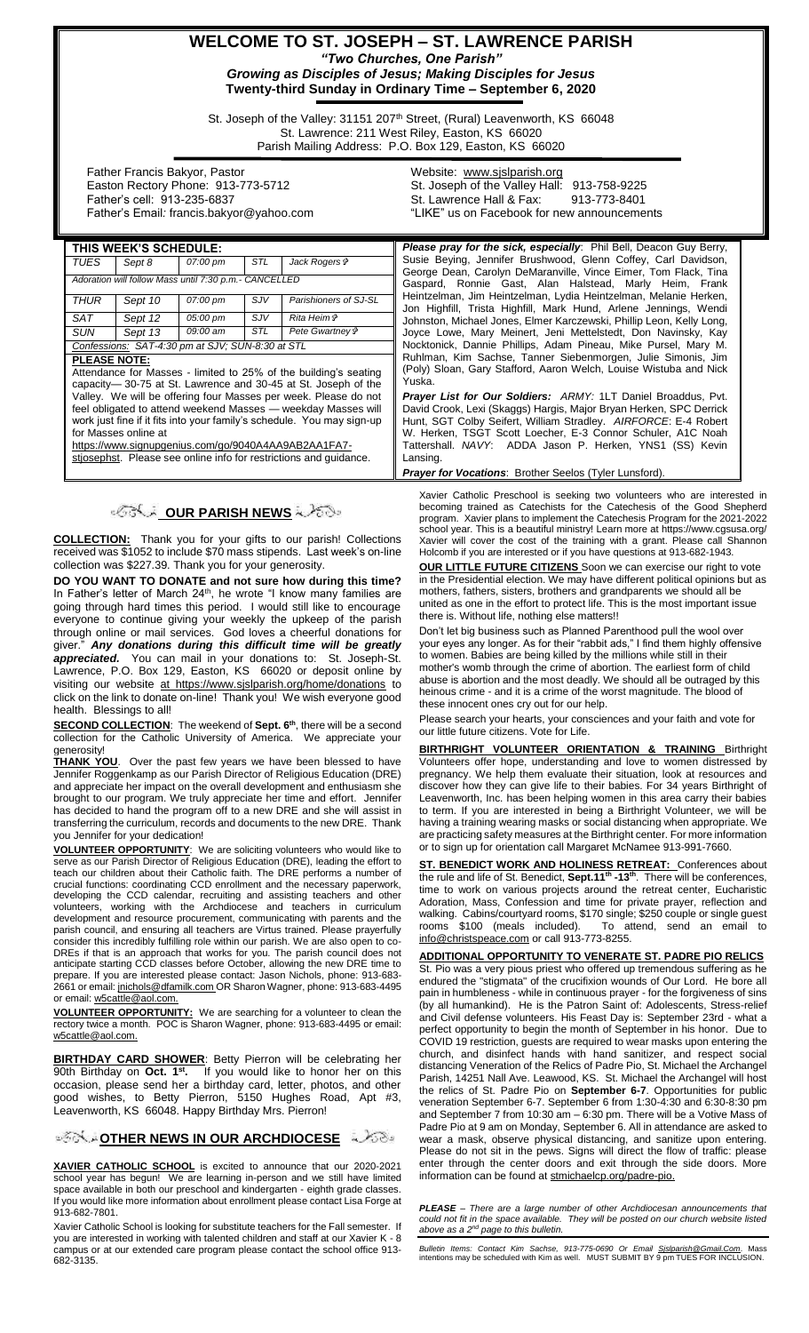# **WELCOME TO ST. JOSEPH – ST. LAWRENCE PARISH** *"Two Churches, One Parish"*

*Growing as Disciples of Jesus; Making Disciples for Jesus* **Twenty-third Sunday in Ordinary Time – September 6, 2020**

St. Joseph of the Valley: 31151 207<sup>th</sup> Street, (Rural) Leavenworth, KS 66048 St. Lawrence: 211 West Riley, Easton, KS 66020 Parish Mailing Address: P.O. Box 129, Easton, KS 66020

 Father Francis Bakyor, Pastor Easton Rectory Phone: 913-773-5712 Father's cell: 913-235-6837 Father's Email*:* francis.bakyor@yahoo.com Website: [www.sjslparish.org](http://www.sjslparish.org/) St. Joseph of the Valley Hall: 913-758-9225 St. Lawrence Hall & Fax: "LIKE" us on Facebook for new announcements

| THIS WEEK'S SCHEDULE:                                                                                                             |         |          |            |                       | <b>Please pray for the sick, especially:</b> Phil Bell, Deacon Guy Berry,                                                            |
|-----------------------------------------------------------------------------------------------------------------------------------|---------|----------|------------|-----------------------|--------------------------------------------------------------------------------------------------------------------------------------|
| <b>TUES</b>                                                                                                                       | Sept 8  | 07:00 pm | STL        | Jack Rogers &         | Susie Beying, Jennifer Brushwood, Glenn Coffey, Carl Davidson,                                                                       |
| Adoration will follow Mass until 7:30 p.m.- CANCELLED                                                                             |         |          |            |                       | George Dean, Carolyn DeMaranville, Vince Eimer, Tom Flack, Tina<br>Gaspard, Ronnie Gast, Alan Halstead, Marly Heim, Frank            |
| <b>THUR</b>                                                                                                                       | Sept 10 | 07:00 pm | <b>SJV</b> | Parishioners of SJ-SL | Heintzelman, Jim Heintzelman, Lydia Heintzelman, Melanie Herken,<br>Jon Highfill, Trista Highfill, Mark Hund, Arlene Jennings, Wendi |
| <b>SAT</b>                                                                                                                        | Sept 12 | 05:00 pm | SJV        | <i>Rita Heim†</i>     | Johnston, Michael Jones, Elmer Karczewski, Phillip Leon, Kelly Long,                                                                 |
| SUN                                                                                                                               | Sept 13 | 09:00 am | STL        | Pete Gwartney &       | Joyce Lowe, Mary Meinert, Jeni Mettelstedt, Don Navinsky, Kay                                                                        |
| Confessions: SAT-4:30 pm at SJV; SUN-8:30 at STL                                                                                  |         |          |            |                       | Nocktonick, Dannie Phillips, Adam Pineau, Mike Pursel, Mary M.                                                                       |
| <b>PLEASE NOTE:</b>                                                                                                               |         |          |            |                       | Ruhlman, Kim Sachse, Tanner Siebenmorgen, Julie Simonis, Jim                                                                         |
| Attendance for Masses - limited to 25% of the building's seating<br>capacity-30-75 at St. Lawrence and 30-45 at St. Joseph of the |         |          |            |                       | (Poly) Sloan, Gary Stafford, Aaron Welch, Louise Wistuba and Nick<br>Yuska.                                                          |
| Valley. We will be offering four Masses per week. Please do not                                                                   |         |          |            |                       | <b>Prayer List for Our Soldiers:</b> ARMY: 1LT Daniel Broaddus, Pvt.                                                                 |
| feel obligated to attend weekend Masses — weekday Masses will                                                                     |         |          |            |                       | David Crook, Lexi (Skaggs) Hargis, Major Bryan Herken, SPC Derrick                                                                   |
| work just fine if it fits into your family's schedule. You may sign-up                                                            |         |          |            |                       | Hunt, SGT Colby Seifert, William Stradley. AIRFORCE: E-4 Robert                                                                      |
| for Masses online at                                                                                                              |         |          |            |                       | W. Herken, TSGT Scott Loecher, E-3 Connor Schuler, A1C Noah                                                                          |
| https://www.signupgenius.com/go/9040A4AA9AB2AA1FA7-                                                                               |         |          |            |                       | Tattershall. NAVY: ADDA Jason P. Herken, YNS1 (SS) Kevin                                                                             |
| stiosephst. Please see online info for restrictions and quidance.                                                                 |         |          |            |                       | Lansing.                                                                                                                             |
|                                                                                                                                   |         |          |            |                       | Busines fan Maracktanaer Buskless Orald a 7∓. Jos Luce fan IV.                                                                       |

## **OUR PARISH NEWS**

**COLLECTION:** Thank you for your gifts to our parish! Collections received was \$1052 to include \$70 mass stipends. Last week's on-line collection was \$227.39. Thank you for your generosity.

**DO YOU WANT TO DONATE and not sure how during this time?** In Father's letter of March 24<sup>th</sup>, he wrote "I know many families are going through hard times this period. I would still like to encourage everyone to continue giving your weekly the upkeep of the parish through online or mail services. God loves a cheerful donations for giver." *Any donations during this difficult time will be greatly appreciated.* You can mail in your donations to: St. Joseph-St. Lawrence, P.O. Box 129, Easton, KS 66020 or deposit online by visiting our website at https://www.sjslparish.org/home/donations to click on the link to donate on-line! Thank you! We wish everyone good health.Blessings to all!

**SECOND COLLECTION**: The weekend of **Sept. 6th**, there will be a second collection for the Catholic University of America. We appreciate your generosity!

**THANK YOU**. Over the past few years we have been blessed to have Jennifer Roggenkamp as our Parish Director of Religious Education (DRE) and appreciate her impact on the overall development and enthusiasm she brought to our program. We truly appreciate her time and effort. Jennifer has decided to hand the program off to a new DRE and she will assist in transferring the curriculum, records and documents to the new DRE. Thank you Jennifer for your dedication!

**VOLUNTEER OPPORTUNITY**: We are soliciting volunteers who would like to serve as our Parish Director of Religious Education (DRE), leading the effort to teach our children about their Catholic faith. The DRE performs a number of crucial functions: coordinating CCD enrollment and the necessary paperwork, developing the CCD calendar, recruiting and assisting teachers and other volunteers, working with the Archdiocese and teachers in curriculum development and resource procurement, communicating with parents and the parish council, and ensuring all teachers are Virtus trained. Please prayerfully consider this incredibly fulfilling role within our parish. We are also open to co-DREs if that is an approach that works for you. The parish council does not anticipate starting CCD classes before October, allowing the new DRE time to prepare. If you are interested please contact: Jason Nichols, phone: 913-683- 2661 or email[: jnichols@dfamilk.com](mailto:jnichols@dfamilk.com) OR Sharon Wagner, phone: 913-683-4495 or email[: w5cattle@aol.com.](mailto:w5cattle@aol.com)

**VOLUNTEER OPPORTUNITY:** We are searching for a volunteer to clean the rectory twice a month. POC is Sharon Wagner, phone: 913-683-4495 or email: [w5cattle@aol.com.](mailto:w5cattle@aol.com)

**BIRTHDAY CARD SHOWER**: Betty Pierron will be celebrating her 90th Birthday on **Oct. 1st .** If you would like to honor her on this occasion, please send her a birthday card, letter, photos, and other good wishes, to Betty Pierron, 5150 Hughes Road, Apt #3, Leavenworth, KS 66048. Happy Birthday Mrs. Pierron!

**[O](http://www.google.com/url?sa=i&rct=j&q=&esrc=s&source=images&cd=&cad=rja&uact=8&ved=0CAcQjRxqFQoTCL3M6dfYlskCFQfIYwodK-sMqA&url=http://www.clipartpanda.com/categories/corner-scroll-design&psig=AFQjCNEcNGu-GRs-N_tcfj31hDOCKS7EqQ&ust=1447823402338642)THER NEWS IN OUR ARCHDIOCESE** A 268

**XAVIER CATHOLIC SCHOOL** is excited to announce that our 2020-2021 school year has begun! We are learning in-person and we still have limited space available in both our preschool and kindergarten - eighth grade classes. If you would like more information about enrollment please contact Lisa Forge at 913-682-7801.

Xavier Catholic School is looking for substitute teachers for the Fall semester. If you are interested in working with talented children and staff at our Xavier K - 8 campus or at our extended care program please contact the school office 913- 682-3135.

*Prayer for Vocations*: Brother Seelos (Tyler Lunsford).

Xavier Catholic Preschool is seeking two volunteers who are interested in becoming trained as Catechists for the Catechesis of the Good Shepherd program. Xavier plans to implement the Catechesis Program for the 2021-2022 school year. This is a beautiful ministry! Learn more at https://www.cgsusa.org/ Xavier will cover the cost of the training with a grant. Please call Shannon Holcomb if you are interested or if you have questions at 913-682-1943.

**OUR LITTLE FUTURE CITIZENS** Soon we can exercise our right to vote in the Presidential election. We may have different political opinions but as mothers, fathers, sisters, brothers and grandparents we should all be united as one in the effort to protect life. This is the most important issue there is. Without life, nothing else matters!!

Don't let big business such as Planned Parenthood pull the wool over your eyes any longer. As for their "rabbit ads," I find them highly offensive to women. Babies are being killed by the millions while still in their mother's womb through the crime of abortion. The earliest form of child abuse is abortion and the most deadly. We should all be outraged by this heinous crime - and it is a crime of the worst magnitude. The blood of these innocent ones cry out for our help.

Please search your hearts, your consciences and your faith and vote for our little future citizens. Vote for Life.

**BIRTHRIGHT VOLUNTEER ORIENTATION & TRAINING** Birthright Volunteers offer hope, understanding and love to women distressed by pregnancy. We help them evaluate their situation, look at resources and discover how they can give life to their babies. For 34 years Birthright of Leavenworth, Inc. has been helping women in this area carry their babies to term. If you are interested in being a Birthright Volunteer, we will be having a training wearing masks or social distancing when appropriate. We are practicing safety measures at the Birthright center. For more information or to sign up for orientation call Margaret McNamee 913-991-7660.

**ST. BENEDICT WORK AND HOLINESS RETREAT:** Conferences about the rule and life of St. Benedict, **Sept.11th -13th**. There will be conferences, time to work on various projects around the retreat center, Eucharistic Adoration, Mass, Confession and time for private prayer, reflection and walking. Cabins/courtyard rooms, \$170 single; \$250 couple or single guest rooms \$100 (meals included). To attend, send an email to [info@christspeace.com](mailto:info@christspeace.com) or call 913-773-8255.

**ADDITIONAL OPPORTUNITY TO VENERATE ST. PADRE PIO RELICS** St. Pio was a very pious priest who offered up tremendous suffering as he endured the "stigmata" of the crucifixion wounds of Our Lord. He bore all pain in humbleness - while in continuous prayer - for the forgiveness of sins (by all humankind). He is the Patron Saint of: Adolescents, Stress-relief and Civil defense volunteers. His Feast Day is: September 23rd - what a perfect opportunity to begin the month of September in his honor. Due to COVID 19 restriction, guests are required to wear masks upon entering the church, and disinfect hands with hand sanitizer, and respect social distancing Veneration of the Relics of Padre Pio, St. Michael the Archangel Parish, 14251 Nall Ave. Leawood, KS. St. Michael the Archangel will host the relics of St. Padre Pio on **September 6-7**. Opportunities for public veneration September 6-7. September 6 from 1:30-4:30 and 6:30-8:30 pm and September 7 from 10:30 am – 6:30 pm. There will be a Votive Mass of Padre Pio at 9 am on Monday, September 6. All in attendance are asked to wear a mask, observe physical distancing, and sanitize upon entering. Please do not sit in the pews. Signs will direct the flow of traffic: please enter through the center doors and exit through the side doors. More information can be found at stmichaelcp.org/padre-pio.

*PLEASE – There are a large number of other Archdiocesan announcements that could not fit in the space available. They will be posted on our church website listed above as a 2nd page to this bulletin.*

*Bulletin Items: Contact Kim Sachse, 913-775-0690 Or Email <u>Sislparish@Gmail.Com</u>. Mass<br>intentions may be scheduled with Kim as well. MUST SUBMIT BY 9 pm TUES FOR INCLUSION.*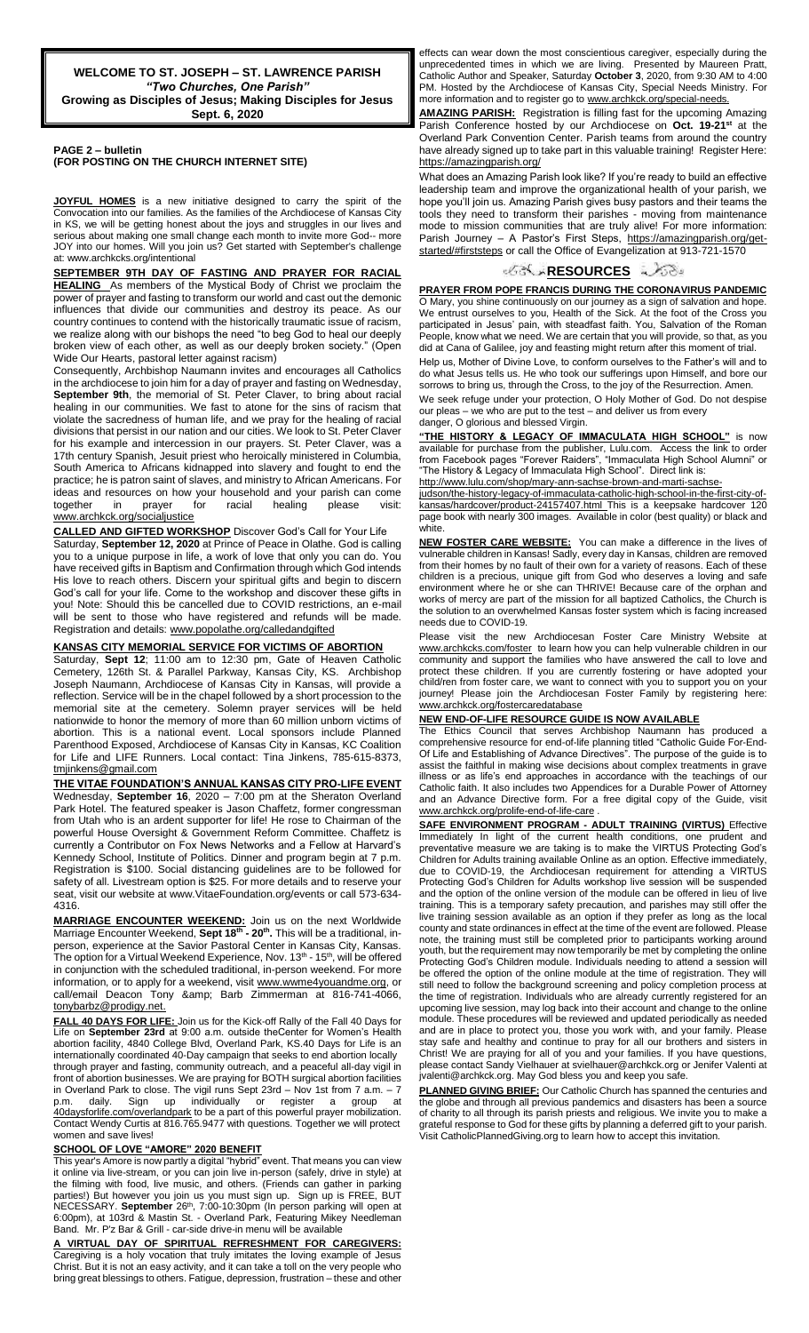**WELCOME TO ST. JOSEPH – ST. LAWRENCE PARISH** *"Two Churches, One Parish"* **Growing as Disciples of Jesus; Making Disciples for Jesus Sept. 6, 2020**

**PAGE 2 – bulletin (FOR POSTING ON THE CHURCH INTERNET SITE)**

**JOYFUL HOMES** is a new initiative designed to carry the spirit of the Convocation into our families. As the families of the Archdiocese of Kansas City in KS, we will be getting honest about the joys and struggles in our lives and serious about making one small change each month to invite more God-- more JOY into our homes. Will you join us? Get started with September's challenge at: www.archkcks.org/intentional

**SEPTEMBER 9TH DAY OF FASTING AND PRAYER FOR RACIAL HEALING** As members of the Mystical Body of Christ we proclaim the power of prayer and fasting to transform our world and cast out the demonic influences that divide our communities and destroy its peace. As our country continues to contend with the historically traumatic issue of racism, we realize along with our bishops the need "to beg God to heal our deeply broken view of each other, as well as our deeply broken society." (Open Wide Our Hearts, pastoral letter against racism)

Consequently, Archbishop Naumann invites and encourages all Catholics in the archdiocese to join him for a day of prayer and fasting on Wednesday, **September 9th**, the memorial of St. Peter Claver, to bring about racial healing in our communities. We fast to atone for the sins of racism that violate the sacredness of human life, and we pray for the healing of racial divisions that persist in our nation and our cities. We look to St. Peter Claver for his example and intercession in our prayers. St. Peter Claver, was a 17th century Spanish, Jesuit priest who heroically ministered in Columbia, South America to Africans kidnapped into slavery and fought to end the practice; he is patron saint of slaves, and ministry to African Americans. For ideas and resources on how your household and your parish can come<br>together in prayer for racial healing please visit: together in prayer for racial healing please visit: www.archkck.org/socialjustice

**CALLED AND GIFTED WORKSHOP** Discover God's Call for Your Life Saturday, **September 12, 2020** at Prince of Peace in Olathe. God is calling you to a unique purpose in life, a work of love that only you can do. You have received gifts in Baptism and Confirmation through which God intends His love to reach others. Discern your spiritual gifts and begin to discern God's call for your life. Come to the workshop and discover these gifts in you! Note: Should this be cancelled due to COVID restrictions, an e-mail

will be sent to those who have registered and refunds will be made.

### **KANSAS CITY MEMORIAL SERVICE FOR VICTIMS OF ABORTION**

Registration and details: www.popolathe.org/calledandgifted

Saturday, **Sept 12**; 11:00 am to 12:30 pm, Gate of Heaven Catholic Cemetery, 126th St. & Parallel Parkway, Kansas City, KS. Archbishop Joseph Naumann, Archdiocese of Kansas City in Kansas, will provide a reflection. Service will be in the chapel followed by a short procession to the memorial site at the cemetery. Solemn prayer services will be held nationwide to honor the memory of more than 60 million unborn victims of abortion. This is a national event. Local sponsors include Planned Parenthood Exposed, Archdiocese of Kansas City in Kansas, KC Coalition for Life and LIFE Runners. Local contact: Tina Jinkens, 785-615-8373, [tmjinkens@gmail.com](mailto:tmjinkens@gmail.com)

**THE VITAE FOUNDATION'S ANNUAL KANSAS CITY PRO-LIFE EVENT** Wednesday, **September 16**, 2020 – 7:00 pm at the Sheraton Overland Park Hotel. The featured speaker is Jason Chaffetz, former congressman from Utah who is an ardent supporter for life! He rose to Chairman of the powerful House Oversight & Government Reform Committee. Chaffetz is currently a Contributor on Fox News Networks and a Fellow at Harvard's Kennedy School, Institute of Politics. Dinner and program begin at 7 p.m. Registration is \$100. Social distancing guidelines are to be followed for safety of all. Livestream option is \$25. For more details and to reserve your seat, visit our website at www.VitaeFoundation.org/events or call 573-634- 4316.

**MARRIAGE ENCOUNTER WEEKEND:** Join us on the next Worldwide Marriage Encounter Weekend, **Sept 18th - 20th .** This will be a traditional, inperson, experience at the Savior Pastoral Center in Kansas City, Kansas. The option for a Virtual Weekend Experience, Nov. 13<sup>th</sup> - 15<sup>th</sup>, will be offered in conjunction with the scheduled traditional, in-person weekend. For more information, or to apply for a weekend, visit www.wwme4youandme.org, or call/email Deacon Tony & amp; Barb Zimmerman at 816-741-4066, [tonybarbz@prodigy.net.](mailto:tonybarbz@prodigy.net)

**FALL 40 DAYS FOR LIFE:** Join us for the Kick-off Rally of the Fall 40 Days for Life on **September 23rd** at 9:00 a.m. outside theCenter for Women's Health abortion facility, 4840 College Blvd, Overland Park, KS.40 Days for Life is an internationally coordinated 40-Day campaign that seeks to end abortion locally through prayer and fasting, community outreach, and a peaceful all-day vigil in front of abortion businesses. We are praying for BOTH surgical abortion facilities in Overland Park to close. The vigil runs Sept 23rd – Nov 1st from 7 a.m. – 7 p.m. daily. Sign up individually or register a group at 40daysforlife.com/overlandpark to be a part of this powerful prayer mobilization. Contact Wendy Curtis at 816.765.9477 with questions. Together we will protect women and save lives!

### **SCHOOL OF LOVE "AMORE" 2020 BENEFIT**

This year's Amore is now partly a digital "hybrid" event. That means you can view it online via live-stream, or you can join live in-person (safely, drive in style) at the filming with food, live music, and others. (Friends can gather in parking parties!) But however you join us you must sign up. Sign up is FREE, BUT NECESSARY. September 26<sup>th</sup>, 7:00-10:30pm (In person parking will open at 6:00pm), at 103rd & Mastin St. - Overland Park, Featuring Mikey Needleman Band. Mr. P'z Bar & Grill - car-side drive-in menu will be available

**VIRTUAL DAY OF SPIRITUAL REFRESHMENT FOR CAREGIVERS:** Caregiving is a holy vocation that truly imitates the loving example of Jesus Christ. But it is not an easy activity, and it can take a toll on the very people who bring great blessings to others. Fatigue, depression, frustration – these and other

effects can wear down the most conscientious caregiver, especially during the unprecedented times in which we are living. Presented by Maureen Pratt, Catholic Author and Speaker, Saturday **October 3**, 2020, from 9:30 AM to 4:00 PM. Hosted by the Archdiocese of Kansas City, Special Needs Ministry. For more information and to register go to www.archkck.org/special-needs.

**AMAZING PARISH:** Registration is filling fast for the upcoming Amazing Parish Conference hosted by our Archdiocese on **Oct. 19-21st** at the Overland Park Convention Center. Parish teams from around the country have already signed up to take part in this valuable training! Register Here: <https://amazingparish.org/>

What does an Amazing Parish look like? If you're ready to build an effective leadership team and improve the organizational health of your parish, we hope you'll join us. Amazing Parish gives busy pastors and their teams the tools they need to transform their parishes - moving from maintenance mode to mission communities that are truly alive! For more information: Parish Journey - A Pastor's First Steps, [https://amazingparish.org/get](https://amazingparish.org/get-started/#firststeps)[started/#firststeps](https://amazingparish.org/get-started/#firststeps) or call the Office of Evangelization at 913-721-1570

### •∕ের্স্ক**[R](http://www.google.com/url?sa=i&rct=j&q=&esrc=s&source=images&cd=&cad=rja&uact=8&ved=0CAcQjRxqFQoTCL3M6dfYlskCFQfIYwodK-sMqA&url=http://www.clipartpanda.com/categories/corner-scroll-design&psig=AFQjCNEcNGu-GRs-N_tcfj31hDOCKS7EqQ&ust=1447823402338642)ESOURCES ≈৴ে**ঃ

**PRAYER FROM POPE FRANCIS DURING THE CORONAVIRUS PANDEMIC** O Mary, you shine continuously on our journey as a sign of salvation and hope. We entrust ourselves to you, Health of the Sick. At the foot of the Cross you participated in Jesus' pain, with steadfast faith. You, Salvation of the Roman People, know what we need. We are certain that you will provide, so that, as you did at Cana of Galilee, joy and feasting might return after this moment of trial.

Help us, Mother of Divine Love, to conform ourselves to the Father's will and to do what Jesus tells us. He who took our sufferings upon Himself, and bore our sorrows to bring us, through the Cross, to the joy of the Resurrection. Amen.

We seek refuge under your protection, O Holy Mother of God. Do not despise our pleas – we who are put to the test – and deliver us from every danger, O glorious and blessed Virgin.

**"THE HISTORY & LEGACY OF IMMACULATA HIGH SCHOOL"** is now available for purchase from the publisher, Lulu.com. Access the link to order from Facebook pages "Forever Raiders", "Immaculata High School Alumni" or "The History & Legacy of Immaculata High School". Direct link is:

[http://www.lulu.com/shop/mary-ann-sachse-brown-and-marti-sachse-](http://www.lulu.com/shop/mary-ann-sachse-brown-and-marti-sachse-judson/the-history-legacy-of-immaculata-catholic-high-school-in-the-first-city-of-kansas/hardcover/product-24157407.html)

[judson/the-history-legacy-of-immaculata-catholic-high-school-in-the-first-city-of](http://www.lulu.com/shop/mary-ann-sachse-brown-and-marti-sachse-judson/the-history-legacy-of-immaculata-catholic-high-school-in-the-first-city-of-kansas/hardcover/product-24157407.html)[kansas/hardcover/product-24157407.html](http://www.lulu.com/shop/mary-ann-sachse-brown-and-marti-sachse-judson/the-history-legacy-of-immaculata-catholic-high-school-in-the-first-city-of-kansas/hardcover/product-24157407.html) This is a keepsake hardcover 120 page book with nearly 300 images. Available in color (best quality) or black and white.

**NEW FOSTER CARE WEBSITE:** You can make a difference in the lives of vulnerable children in Kansas! Sadly, every day in Kansas, children are removed from their homes by no fault of their own for a variety of reasons. Each of these children is a precious, unique gift from God who deserves a loving and safe environment where he or she can THRIVE! Because care of the orphan and works of mercy are part of the mission for all baptized Catholics, the Church is the solution to an overwhelmed Kansas foster system which is facing increased needs due to COVID-19.

Please visit the new Archdiocesan Foster Care Ministry Website at [www.archkcks.com/foster](http://www.archkcks.com/foster) to learn how you can help vulnerable children in our community and support the families who have answered the call to love and protect these children. If you are currently fostering or have adopted your child/ren from foster care, we want to connect with you to support you on your journey! Please join the Archdiocesan Foster Family by registering here: [www.archkck.org/fostercaredatabase](http://www.archkck.org/fostercaredatabase)

#### **NEW END-OF-LIFE RESOURCE GUIDE IS NOW AVAILABLE**

The Ethics Council that serves Archbishop Naumann has produced a comprehensive resource for end-of-life planning titled "Catholic Guide For-End-Of Life and Establishing of Advance Directives". The purpose of the guide is to assist the faithful in making wise decisions about complex treatments in grave illness or as life's end approaches in accordance with the teachings of our Catholic faith. It also includes two Appendices for a Durable Power of Attorney and an Advance Directive form. For a free digital copy of the Guide, visit [www.archkck.org/prolife-end-of-life-care](http://www.archkck.org/prolife-end-of-life-care)

**SAFE ENVIRONMENT PROGRAM - ADULT TRAINING (VIRTUS)** Effective Immediately In light of the current health conditions, one prudent and preventative measure we are taking is to make the VIRTUS Protecting God's Children for Adults training available Online as an option. Effective immediately, due to COVID-19, the Archdiocesan requirement for attending a VIRTUS Protecting God's Children for Adults workshop live session will be suspended and the option of the online version of the module can be offered in lieu of live training. This is a temporary safety precaution, and parishes may still offer the live training session available as an option if they prefer as long as the local county and state ordinances in effect at the time of the event are followed. Please note, the training must still be completed prior to participants working around youth, but the requirement may now temporarily be met by completing the online Protecting God's Children module. Individuals needing to attend a session will be offered the option of the online module at the time of registration. They will still need to follow the background screening and policy completion process at the time of registration. Individuals who are already currently registered for an upcoming live session, may log back into their account and change to the online module. These procedures will be reviewed and updated periodically as needed and are in place to protect you, those you work with, and your family. Please stay safe and healthy and continue to pray for all our brothers and sisters in Christ! We are praying for all of you and your families. If you have questions, please contact Sandy Vielhauer at svielhauer@archkck.org or Jenifer Valenti at jvalenti@archkck.org. May God bless you and keep you safe.

**PLANNED GIVING BRIEF:** Our Catholic Church has spanned the centuries and the globe and through all previous pandemics and disasters has been a source of charity to all through its parish priests and religious. We invite you to make a grateful response to God for these gifts by planning a deferred gift to your parish. Visit CatholicPlannedGiving.org to learn how to accept this invitation.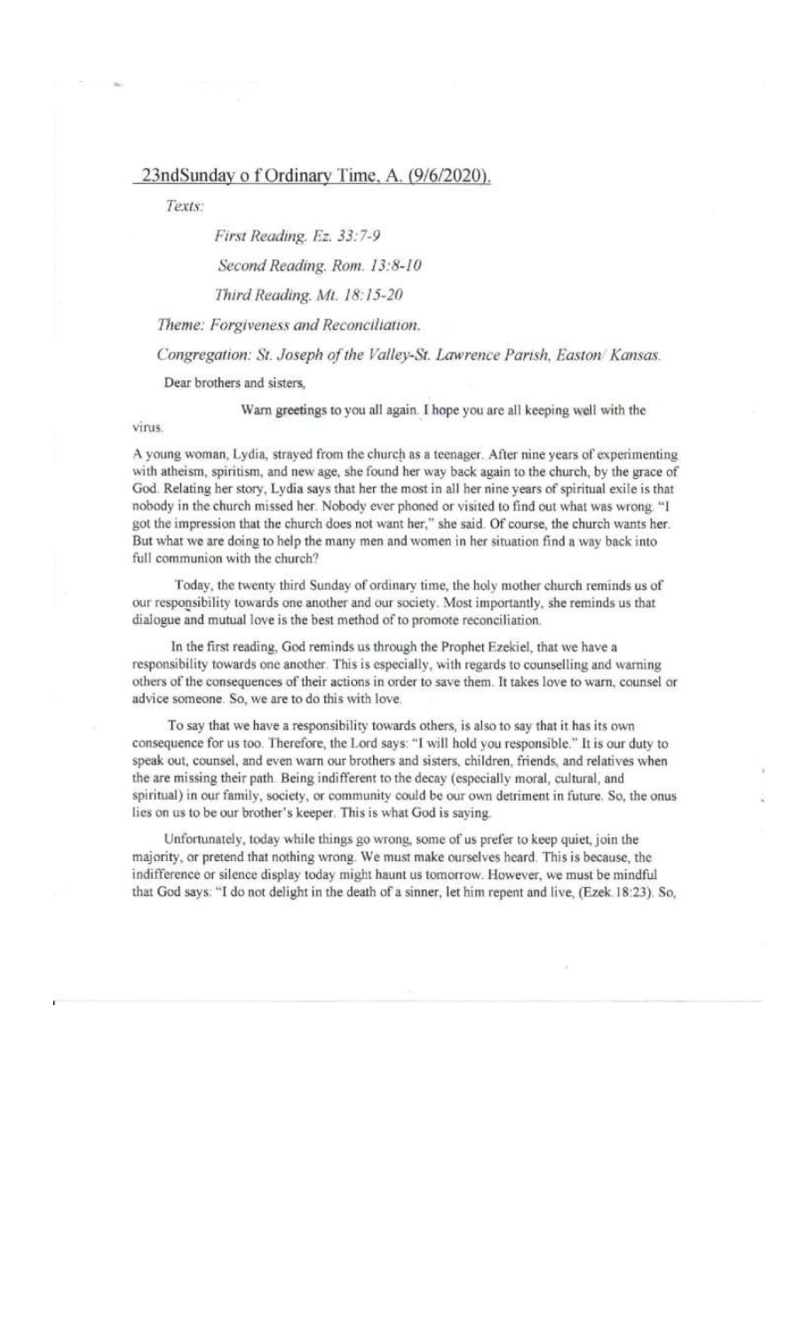# 23ndSunday of Ordinary Time, A. (9/6/2020).

Texts:

First Reading. Ez. 33:7-9

Second Reading. Rom. 13:8-10

Third Reading. Mt. 18:15-20

Theme: Forgiveness and Reconciliation.

Congregation: St. Joseph of the Valley-St. Lawrence Parish, Easton/Kansas.

Dear brothers and sisters,

Warn greetings to you all again. I hope you are all keeping well with the

virus.

A young woman, Lydia, strayed from the church as a teenager. After nine years of experimenting with atheism, spiritism, and new age, she found her way back again to the church, by the grace of God. Relating her story, Lydia says that her the most in all her nine years of spiritual exile is that nobody in the church missed her. Nobody ever phoned or visited to find out what was wrong. "I got the impression that the church does not want her," she said. Of course, the church wants her. But what we are doing to help the many men and women in her situation find a way back into full communion with the church?

Today, the twenty third Sunday of ordinary time, the holy mother church reminds us of our responsibility towards one another and our society. Most importantly, she reminds us that dialogue and mutual love is the best method of to promote reconciliation.

In the first reading, God reminds us through the Prophet Ezekiel, that we have a responsibility towards one another. This is especially, with regards to counselling and warning others of the consequences of their actions in order to save them. It takes love to warn, counsel or advice someone. So, we are to do this with love.

To say that we have a responsibility towards others, is also to say that it has its own consequence for us too. Therefore, the Lord says: "I will hold you responsible." It is our duty to speak out, counsel, and even warn our brothers and sisters, children, friends, and relatives when the are missing their path. Being indifferent to the decay (especially moral, cultural, and spiritual) in our family, society, or community could be our own detriment in future. So, the onus lies on us to be our brother's keeper. This is what God is saying.

Unfortunately, today while things go wrong, some of us prefer to keep quiet, join the majority, or pretend that nothing wrong. We must make ourselves heard. This is because, the indifference or silence display today might haunt us tomorrow. However, we must be mindful that God says: "I do not delight in the death of a sinner, let him repent and live, (Ezek.18:23). So,